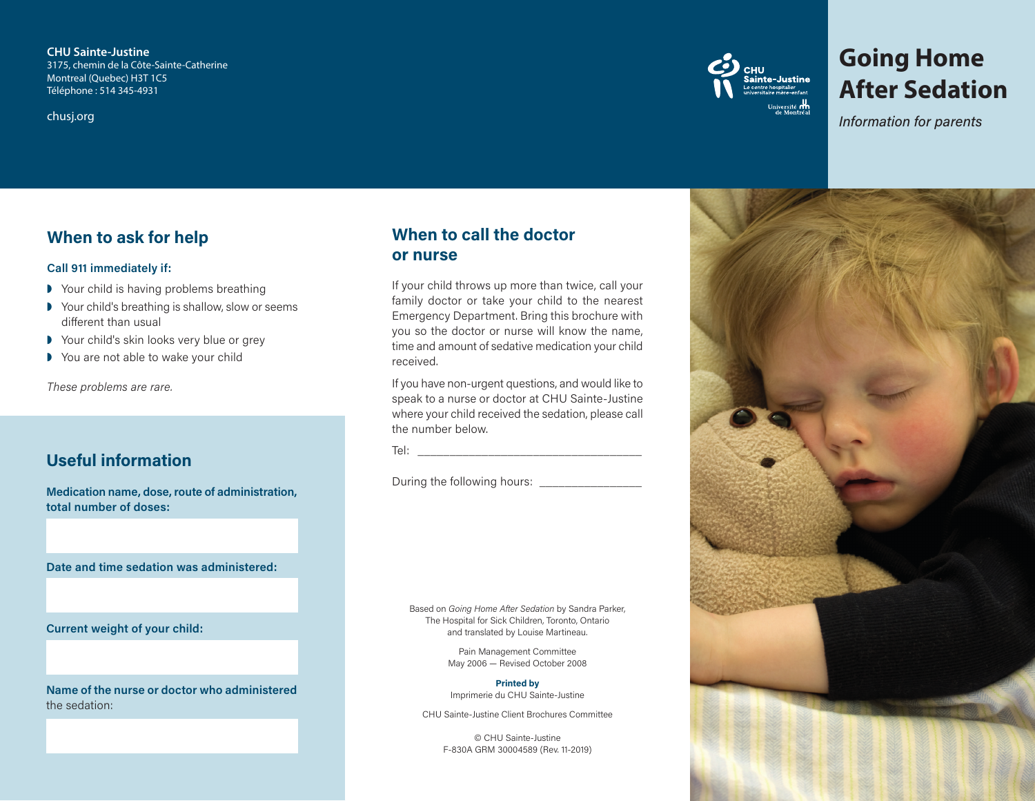**CHU Sainte-Justine** 3175, chemin de la Côte-Sainte-Catherine Montreal (Quebec) H3T 1C5 Téléphone : 514 345-4931

chusj.org



# **Going Home After Sedation**

*Information for parents*

# **When to ask for help**

#### **Call 911 immediately if:**

- **▶** Your child is having problems breathing
- ◗ Your child's breathing is shallow, slow or seems different than usual
- ◗ Your child's skin looks very blue or grey
- ◗ You are not able to wake your child

*These problems are rare.*

# **Useful information**

**Medication name, dose, route of administration, total number of doses:**

**Date and time sedation was administered:**

**Current weight of your child:**

**Name of the nurse or doctor who administered**  the sedation:

# **When to call the doctor or nurse**

If your child throws up more than twice, call your family doctor or take your child to the nearest Emergency Department. Bring this brochure with you so the doctor or nurse will know the name, time and amount of sedative medication your child received.

If you have non-urgent questions, and would like to speak to a nurse or doctor at CHU Sainte-Justine where your child received the sedation, please call the number below.

Tel: \_\_\_\_\_\_\_\_\_\_\_\_\_\_\_\_\_\_\_\_\_\_\_\_\_\_\_\_\_\_\_\_\_\_\_

During the following hours: \_\_\_\_\_\_\_\_\_\_\_\_\_\_\_\_\_\_

Based on *Going Home After Sedation* by Sandra Parker, The Hospital for Sick Children, Toronto, Ontario and translated by Louise Martineau.

> Pain Management Committee May 2006 — Revised October 2008

#### **Printed by**

Imprimerie du CHU Sainte-Justine

CHU Sainte-Justine Client Brochures Committee

© CHU Sainte-Justine F-830A GRM 30004589 (Rev. 11-2019)